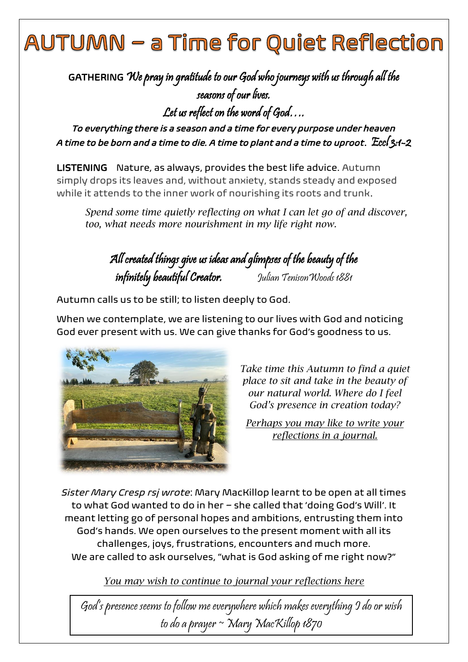## AUTUMN – a Time for Quiet Reflection

GATHERING We pray in gratitude to our God who journeys with us through all the seasons of our lives. Let us reflect on the word of God….

*To everything there is a season and a time for every purpose under heaven A time to be born and a time to die. A time to plant and a time to uproot*. Eccl 3:1-2

LISTENING Nature, as always, provides the best life advice. Autumn simply drops its leaves and, without anxiety, stands steady and exposed while it attends to the inner work of nourishing its roots and trunk.

*Spend some time quietly reflecting on what I can let go of and discover, too, what needs more nourishment in my life right now.*

All created things give us ideas and glimpses of the beauty of the infinitely beautiful Creator. Julian TenisonWoods 1881

Autumn calls us to be still; to listen deeply to God.

When we contemplate, we are listening to our lives with God and noticing God ever present with us. We can give thanks for God's goodness to us.



*Take time this Autumn to find a quiet place to sit and take in the beauty of our natural world. Where do I feel God's presence in creation today?*

*Perhaps you may like to write your reflections in a journal.* 

*Sister Mary Cresp rsj wrote*: Mary MacKillop learnt to be open at all times to what God wanted to do in her – she called that 'doing God's Will'. It meant letting go of personal hopes and ambitions, entrusting them into God's hands. We open ourselves to the present moment with all its challenges, joys, frustrations, encounters and much more. We are called to ask ourselves, "what is God asking of me right now?"

*You may wish to continue to journal your reflections here*

God's presence seems to follow me everywhere which makes everything I do or wish to do a prayer ~ Mary MacKillop 1870